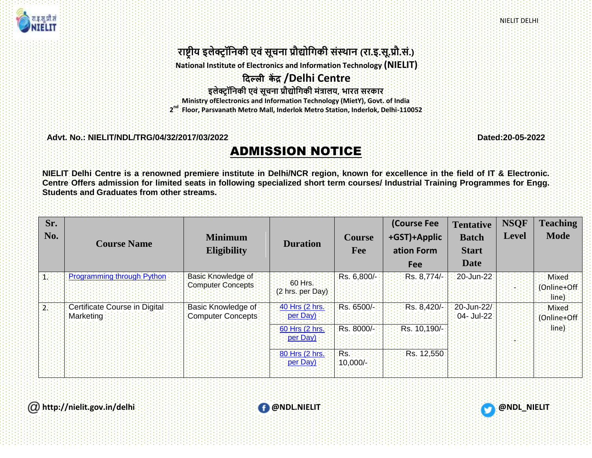NIELIT DELHI



## **राष्ट्रीय इलेक्ट्रॉनिकी एवं सूचिा प्रौद्योनिकी संस्थाि (रा.इ.सू.प्रौ.सं.)**

**National Institute of Electronics and Information Technology (NIELIT)**

## **दिल्ली कें द्र /Delhi Centre**

**इलेक्ट्र ॉनिकी एवं सूचिा प्रौद्योनिकी मंत्रालय, भारत सरकार**

**Ministry ofElectronics and Information Technology (MietY), Govt. of India**

**2 nd Floor, Parsvanath Metro Mall, Inderlok Metro Station, Inderlok, Delhi-110052**

**Advt. No.: NIELIT/NDL/TRG/04/32/2017/03/2022 Dated:20-05-2022**

## ADMISSION NOTICE

**NIELIT Delhi Centre is a renowned premiere institute in Delhi/NCR region, known for excellence in the field of IT & Electronic. Centre Offers admission for limited seats in following specialized short term courses/ Industrial Training Programmes for Engg. Students and Graduates from other streams.**

| Sr.<br>No. | <b>Course Name</b>                          | <b>Minimum</b><br><b>Eligibility</b>    | <b>Duration</b>              | <b>Course</b><br>Fee | <b>(Course Fee</b><br>+GST)+Applic<br>ation Form<br><b>Fee</b> | <b>Tentative</b><br><b>Batch</b><br><b>Start</b><br>Date | <b>NSQF</b><br><b>Level</b> | <b>Teaching</b><br><b>Mode</b>  |
|------------|---------------------------------------------|-----------------------------------------|------------------------------|----------------------|----------------------------------------------------------------|----------------------------------------------------------|-----------------------------|---------------------------------|
|            | Programming through Python                  | Basic Knowledge of<br>Computer Concepts | 60 Hrs.<br>(2 hrs. per Day). | Rs. 6,800/-          | Rs. 8,774/-                                                    | 20-Jun-22                                                |                             | Mixed:<br>(Online+Off:<br>line) |
|            | Certificate Course in Digital:<br>Marketing | Basic Knowledge of<br>Computer Concepts | 40 Hrs (2 hrs.<br>per Day)   | Rs. 6500/-           | Rs. 8,420/-                                                    | 20-Jun-22/<br>04- Jul-22                                 |                             | Mixed:<br>(Online+Off:          |
|            |                                             |                                         | 60 Hrs (2 hrs.)<br>per Day)  | Rs. 8000/-           | Rs. 10,190/-                                                   |                                                          |                             | line)                           |
|            |                                             |                                         | 80 Hrs (2 hrs.<br>per Day)   | Rs.<br>$10,000$ /-   | Rs. 12,550                                                     |                                                          |                             |                                 |



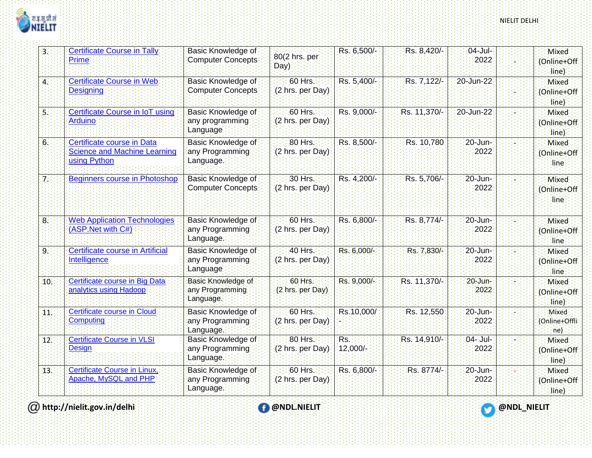

| 3.              | <b>Certificate Course in Tally</b><br><b>Prime</b>                                | Basic Knowledge of<br>Computer Concepts            | 80(2 hrs. per<br>Day)         | Rs. 6,500/-        | Rs. 8,420/-  | $04$ -Jul-<br>2022 | Mixed:<br>(Online+Off:<br>line)            |
|-----------------|-----------------------------------------------------------------------------------|----------------------------------------------------|-------------------------------|--------------------|--------------|--------------------|--------------------------------------------|
| Иį              | <b>Certificate Course in Web</b><br><b>Designing</b>                              | Basic Knowledge of<br>Computer Concepts            | 60 Hrs.<br>(2 hrs. per Day)   | Rs. 5,400/-        | Rs. 7,122/-  | :20-Jun-22         | Mixed<br>(Online+Off:<br>(line             |
| 51              | Certificate Course in IoT using<br><b>Arduino</b>                                 | Basic Knowledge of<br>any programming<br>Language  | 60 Hrs.<br>(2 hrs. per Day)   | Rs. 9,000/-        | Rs. 11,370/- | :20-Jun-22         | <b>Mixed</b><br>(Online+Off<br>line)       |
| 6:              | Certificate course in Data<br><b>Science and Machine Learning</b><br>using Python | Basic Knowledge of<br>any Programming<br>Language. | 80 Hrs.<br>(2 hrs. per Day)   | Rs. 8,500/-        | Rs. 10,780   | 20-Jun-<br>2022    | Mixed<br>(Online+Off:<br>line              |
| Z÷              | <b>Beginners course in Photoshop</b>                                              | Basic Knowledge of<br>Computer Concepts            | 30 Hrs.<br>(2 hrs. per Day)   | Rs. 4,200/-        | Rs. 5,706/-  | 20-Jun-<br>2022    | <b>Mixed</b><br>(Online+Off<br><b>line</b> |
| $\overline{8}$  | <b>Web Application Technologies</b><br>(ASP.Net with C#)                          | Basic Knowledge of<br>any Programming<br>Language. | 60 Hrs.<br>(2 hrs. per Day)   | Rs. 6,800/-        | Rs. 8,774/-  | 20-Jun-<br>2022    | Mixed<br>(Online+Off:<br>dine              |
| 9:              | Certificate course in Artificial<br>Intelligence                                  | Basic Knowledge of<br>any Programming<br>Language  | 40 Hrs.<br>(2 hrs. per Day)   | Rs. 6,000/-        | Rs: 7,830/-  | 20-Jun-<br>2022    | Mixed<br>(Online+Off:<br>dine              |
| 10.             | Certificate course in Big Data<br>analytics using Hadoop                          | Basic Knowledge of<br>any Programming<br>Language. | $60$ Hrs.<br>(2 hrs. per Day) | Rs. 9,000/-        | Rs. 11,370/- | 20-Jun-<br>2022    | Mixed<br>(Online+Off:<br>line)             |
| 31              | Certificate course in Cloud<br><b>Computing</b>                                   | Basic Knowledge of<br>any Programming<br>Language. | 60 Hrs.<br>(2 hrs. per Day)   | Rs.10,000/         | Rs. 12,550   | 20-Jun-<br>2022    | Mixed<br>(Online+Offli<br>ne)              |
| 12.             | <b>Certificate Course in VLSI</b><br><b>Design</b>                                | Basic Knowledge of<br>any Programming<br>Language. | 80 Hrs.<br>(2 hrs. per Day)   | Rs.<br>$:12,000/-$ | Rs. 14,910/- | 04- Jul-<br>2022   | <b>Mixed</b><br>(Online+Off<br>line)       |
| 13 <sub>i</sub> | <b>Certificate Course in Linux,</b><br>Apache, MySQL and PHP                      | Basic Knowledge of<br>any Programming<br>Language. | 60 Hrs.<br>(2 hrs. per Day)   | Rs. 6,800/-        | Rs. 8774/-   | :20-Jun-<br>2022   | Mixed<br>(Online+Off:<br>(line)            |

**http://nielit.gov.in/delhi @NDL.NIELIT @NDL\_NIELIT**